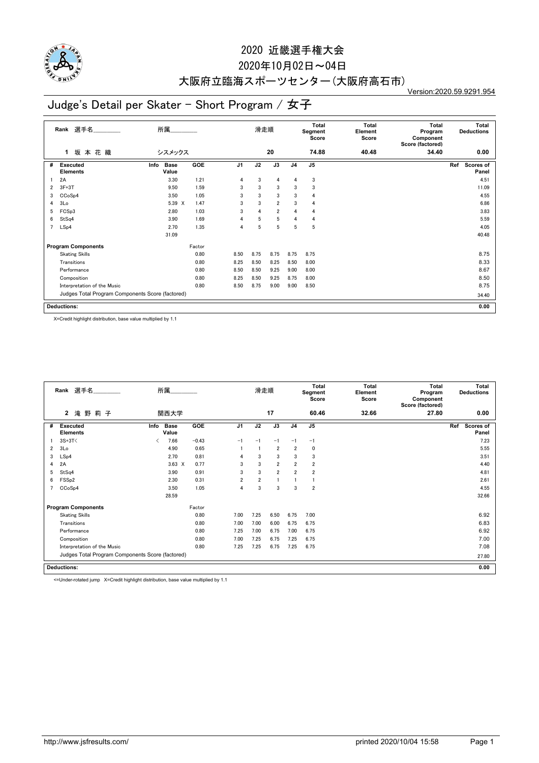

### 2020年10月02日~04日

# 大阪府立臨海スポーツセンター(大阪府高石市)

Version:2020.59.9291.954

## Judge's Detail per Skater - Short Program / 女子

|   | 選手名<br>所属<br>Rank<br>坂本花織<br>シスメックス<br>1         |                              |            |                | 滑走順            |                 |                | Total<br>Segment<br>Score | <b>Total</b><br>Element<br>Score | <b>Total</b><br>Program<br>Component<br>Score (factored) | Total<br><b>Deductions</b> |
|---|--------------------------------------------------|------------------------------|------------|----------------|----------------|-----------------|----------------|---------------------------|----------------------------------|----------------------------------------------------------|----------------------------|
|   |                                                  |                              |            |                |                | 20              |                | 74.88                     | 40.48                            | 34.40                                                    | 0.00                       |
| # | <b>Executed</b><br><b>Elements</b>               | <b>Base</b><br>Info<br>Value | <b>GOE</b> | J <sub>1</sub> | J2             | $\overline{J3}$ | J <sub>4</sub> | J <sub>5</sub>            |                                  |                                                          | Ref<br>Scores of<br>Panel  |
|   | 2A                                               | 3.30                         | 1.21       | 4              | 3              | 4               | 4              | 3                         |                                  |                                                          | 4.51                       |
| 2 | $3F+3T$                                          | 9.50                         | 1.59       | 3              | 3              | 3               | 3              | 3                         |                                  |                                                          | 11.09                      |
| 3 | CCoSp4                                           | 3.50                         | 1.05       | 3              | 3              | 3               | 3              | 4                         |                                  |                                                          | 4.55                       |
| 4 | 3Lo                                              | 5.39 X                       | 1.47       | 3              | 3              | $\overline{2}$  | 3              | 4                         |                                  |                                                          | 6.86                       |
| 5 | FCSp3                                            | 2.80                         | 1.03       | 3              | $\overline{4}$ | $\overline{2}$  | 4              | 4                         |                                  |                                                          | 3.83                       |
| 6 | StSq4                                            | 3.90                         | 1.69       | $\overline{4}$ | 5              | 5               | 4              | 4                         |                                  |                                                          | 5.59                       |
| 7 | LSp4                                             | 2.70                         | 1.35       | 4              | 5              | 5               | 5              | 5                         |                                  |                                                          | 4.05                       |
|   |                                                  | 31.09                        |            |                |                |                 |                |                           |                                  |                                                          | 40.48                      |
|   | <b>Program Components</b>                        |                              | Factor     |                |                |                 |                |                           |                                  |                                                          |                            |
|   | <b>Skating Skills</b>                            |                              | 0.80       | 8.50           | 8.75           | 8.75            | 8.75           | 8.75                      |                                  |                                                          | 8.75                       |
|   | Transitions                                      |                              | 0.80       | 8.25           | 8.50           | 8.25            | 8.50           | 8.00                      |                                  |                                                          | 8.33                       |
|   | Performance                                      |                              | 0.80       | 8.50           | 8.50           | 9.25            | 9.00           | 8.00                      |                                  |                                                          | 8.67                       |
|   | Composition                                      |                              | 0.80       | 8.25           | 8.50           | 9.25            | 8.75           | 8.00                      |                                  |                                                          | 8.50                       |
|   | Interpretation of the Music                      |                              | 0.80       | 8.50           | 8.75           | 9.00            | 9.00           | 8.50                      |                                  |                                                          | 8.75                       |
|   | Judges Total Program Components Score (factored) |                              |            |                |                |                 |                |                           |                                  |                                                          | 34.40                      |
|   | <b>Deductions:</b>                               |                              |            |                |                |                 |                |                           |                                  |                                                          | 0.00                       |

X=Credit highlight distribution, base value multiplied by 1.1

|   | 所属<br>Rank 選手名<br>滝 野<br>莉子<br>2<br>関西大学         |      |                      |         | 滑走順            |                |                | <b>Total</b><br>Segment<br>Score | <b>Total</b><br>Element<br>Score | <b>Total</b><br>Program<br>Component<br>Score (factored) | Total<br><b>Deductions</b> |                           |
|---|--------------------------------------------------|------|----------------------|---------|----------------|----------------|----------------|----------------------------------|----------------------------------|----------------------------------------------------------|----------------------------|---------------------------|
|   |                                                  |      |                      |         |                |                | 17             |                                  | 60.46                            | 32.66                                                    | 27.80                      | 0.00                      |
| # | Executed<br><b>Elements</b>                      | Info | <b>Base</b><br>Value | GOE     | J <sub>1</sub> | J2             | J3             | J <sub>4</sub>                   | J <sub>5</sub>                   |                                                          |                            | Ref<br>Scores of<br>Panel |
|   | $3S+3T<$                                         |      | 7.66                 | $-0.43$ | $-1$           | $-1$           | $-1$           | $-1$                             | $-1$                             |                                                          |                            | 7.23                      |
| 2 | 3 <sub>Lo</sub>                                  |      | 4.90                 | 0.65    |                |                | $\overline{2}$ | $\overline{2}$                   | 0                                |                                                          |                            | 5.55                      |
| 3 | LSp4                                             |      | 2.70                 | 0.81    | 4              | 3              | 3              | 3                                | 3                                |                                                          |                            | 3.51                      |
| 4 | 2A                                               |      | $3.63 \times$        | 0.77    | 3              | 3              | $\overline{2}$ | $\overline{2}$                   | $\overline{2}$                   |                                                          |                            | 4.40                      |
| 5 | StSq4                                            |      | 3.90                 | 0.91    | 3              | 3              | $\overline{2}$ | $\overline{2}$                   | $\overline{2}$                   |                                                          |                            | 4.81                      |
| 6 | FSS <sub>p2</sub>                                |      | 2.30                 | 0.31    | $\overline{2}$ | $\overline{2}$ |                |                                  |                                  |                                                          |                            | 2.61                      |
|   | CCoSp4                                           |      | 3.50                 | 1.05    | 4              | 3              | 3              | 3                                | $\overline{2}$                   |                                                          |                            | 4.55                      |
|   |                                                  |      | 28.59                |         |                |                |                |                                  |                                  |                                                          |                            | 32.66                     |
|   | <b>Program Components</b>                        |      |                      | Factor  |                |                |                |                                  |                                  |                                                          |                            |                           |
|   | <b>Skating Skills</b>                            |      |                      | 0.80    | 7.00           | 7.25           | 6.50           | 6.75                             | 7.00                             |                                                          |                            | 6.92                      |
|   | Transitions                                      |      |                      | 0.80    | 7.00           | 7.00           | 6.00           | 6.75                             | 6.75                             |                                                          |                            | 6.83                      |
|   | Performance                                      |      |                      | 0.80    | 7.25           | 7.00           | 6.75           | 7.00                             | 6.75                             |                                                          |                            | 6.92                      |
|   | Composition                                      |      |                      | 0.80    | 7.00           | 7.25           | 6.75           | 7.25                             | 6.75                             |                                                          |                            | 7.00                      |
|   | Interpretation of the Music                      |      |                      | 0.80    | 7.25           | 7.25           | 6.75           | 7.25                             | 6.75                             |                                                          |                            | 7.08                      |
|   | Judges Total Program Components Score (factored) |      |                      |         |                |                |                |                                  |                                  | 27.80                                                    |                            |                           |
|   | <b>Deductions:</b>                               |      |                      |         |                |                |                |                                  |                                  |                                                          |                            | 0.00                      |

<=Under-rotated jump X=Credit highlight distribution, base value multiplied by 1.1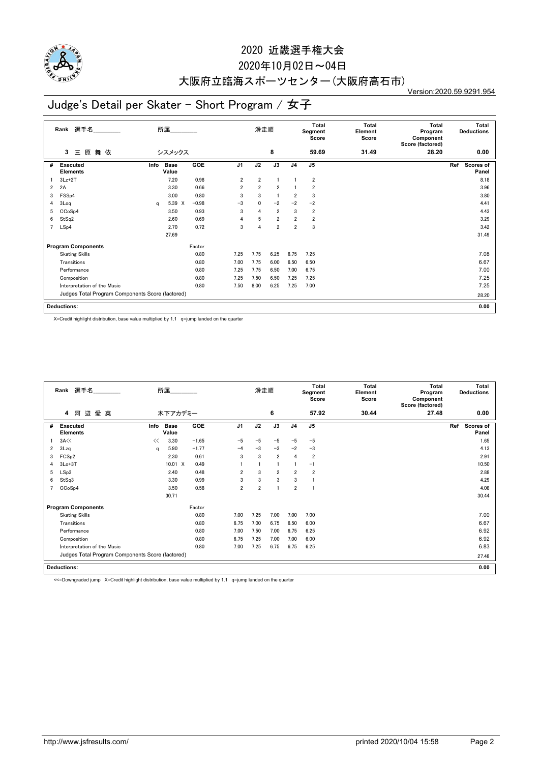

### 2020年10月02日~04日

## 大阪府立臨海スポーツセンター(大阪府高石市)

Version:2020.59.9291.954

## Judge's Detail per Skater - Short Program / 女子

|   | Rank 選手名<br>所属<br>原<br>舞依<br>シスメックス<br>3<br>Ξ    |      |                      |         | 滑走順            |                |                | <b>Total</b><br>Segment<br>Score | <b>Total</b><br>Element<br>Score | <b>Total</b><br>Program<br>Component<br>Score (factored) | Total<br><b>Deductions</b> |                           |
|---|--------------------------------------------------|------|----------------------|---------|----------------|----------------|----------------|----------------------------------|----------------------------------|----------------------------------------------------------|----------------------------|---------------------------|
|   |                                                  |      |                      |         |                |                | 8              |                                  | 59.69                            | 31.49                                                    | 28.20                      | 0.00                      |
| # | <b>Executed</b><br><b>Elements</b>               | Info | <b>Base</b><br>Value | GOE     | J <sub>1</sub> | J2             | J3             | J <sub>4</sub>                   | J <sub>5</sub>                   |                                                          |                            | Ref<br>Scores of<br>Panel |
|   | $3Lz+2T$                                         |      | 7.20                 | 0.98    | $\overline{2}$ | $\overline{2}$ |                |                                  | $\overline{2}$                   |                                                          |                            | 8.18                      |
| 2 | 2A                                               |      | 3.30                 | 0.66    | 2              | $\overline{2}$ | $\overline{2}$ |                                  | $\overline{2}$                   |                                                          |                            | 3.96                      |
| 3 | FSS <sub>p4</sub>                                |      | 3.00                 | 0.80    | 3              | 3              |                | $\overline{2}$                   | 3                                |                                                          |                            | 3.80                      |
| 4 | 3Log                                             | a    | 5.39 X               | $-0.98$ | $-3$           | 0              | $-2$           | $-2$                             | $-2$                             |                                                          |                            | 4.41                      |
| 5 | CCoSp4                                           |      | 3.50                 | 0.93    | 3              | 4              | $\overline{2}$ | 3                                | $\overline{2}$                   |                                                          |                            | 4.43                      |
| 6 | StSq2                                            |      | 2.60                 | 0.69    | 4              | 5              | $\overline{2}$ | $\overline{2}$                   | $\overline{2}$                   |                                                          |                            | 3.29                      |
| 7 | LSp4                                             |      | 2.70                 | 0.72    | 3              | 4              | $\overline{2}$ | $\overline{2}$                   | 3                                |                                                          |                            | 3.42                      |
|   |                                                  |      | 27.69                |         |                |                |                |                                  |                                  |                                                          |                            | 31.49                     |
|   | <b>Program Components</b>                        |      |                      | Factor  |                |                |                |                                  |                                  |                                                          |                            |                           |
|   | <b>Skating Skills</b>                            |      |                      | 0.80    | 7.25           | 7.75           | 6.25           | 6.75                             | 7.25                             |                                                          |                            | 7.08                      |
|   | Transitions                                      |      |                      | 0.80    | 7.00           | 7.75           | 6.00           | 6.50                             | 6.50                             |                                                          |                            | 6.67                      |
|   | Performance                                      |      |                      | 0.80    | 7.25           | 7.75           | 6.50           | 7.00                             | 6.75                             |                                                          |                            | 7.00                      |
|   | Composition                                      |      |                      | 0.80    | 7.25           | 7.50           | 6.50           | 7.25                             | 7.25                             |                                                          |                            | 7.25                      |
|   | Interpretation of the Music                      |      |                      | 0.80    | 7.50           | 8.00           | 6.25           | 7.25                             | 7.00                             |                                                          |                            | 7.25                      |
|   | Judges Total Program Components Score (factored) |      |                      |         |                |                |                |                                  |                                  |                                                          |                            | 28.20                     |
|   | <b>Deductions:</b>                               |      |                      |         |                |                |                |                                  |                                  |                                                          |                            | 0.00                      |

X=Credit highlight distribution, base value multiplied by 1.1 q=jump landed on the quarter

|   | Rank 選手名                                         |      | 所属                   |         |                | 滑走順            |                |                | Total<br>Segment<br>Score | Total<br>Element<br>Score | Total<br>Program<br>Component<br>Score (factored) | Total<br><b>Deductions</b> |
|---|--------------------------------------------------|------|----------------------|---------|----------------|----------------|----------------|----------------|---------------------------|---------------------------|---------------------------------------------------|----------------------------|
|   | 辺愛菜<br>河<br>4                                    |      | 木下アカデミー              |         |                |                | 6              |                | 57.92                     | 30.44                     | 27.48                                             | 0.00                       |
| # | Executed<br><b>Elements</b>                      | Info | <b>Base</b><br>Value | GOE     | J <sub>1</sub> | J2             | J3             | J <sub>4</sub> | J <sub>5</sub>            |                           |                                                   | Ref<br>Scores of<br>Panel  |
|   | 3A<<                                             | <<   | 3.30                 | $-1.65$ | $-5$           | $-5$           | $-5$           | $-5$           | $-5$                      |                           |                                                   | 1.65                       |
| 2 | 3Lzq                                             | a    | 5.90                 | $-1.77$ | $-4$           | $-3$           | $-3$           | $-2$           | $-3$                      |                           |                                                   | 4.13                       |
| 3 | FCS <sub>p2</sub>                                |      | 2.30                 | 0.61    | 3              | 3              | $\overline{2}$ | $\overline{4}$ | $\overline{2}$            |                           |                                                   | 2.91                       |
| 4 | $3Lo+3T$                                         |      | 10.01 X              | 0.49    |                |                |                |                | $-1$                      |                           |                                                   | 10.50                      |
| 5 | LSp3                                             |      | 2.40                 | 0.48    | 2              | 3              | $\overline{2}$ | $\overline{2}$ | $\overline{2}$            |                           |                                                   | 2.88                       |
| 6 | StSq3                                            |      | 3.30                 | 0.99    | 3              | 3              | 3              | 3              |                           |                           |                                                   | 4.29                       |
|   | CCoSp4                                           |      | 3.50                 | 0.58    | $\overline{2}$ | $\overline{2}$ | f.             | $\overline{2}$ |                           |                           |                                                   | 4.08                       |
|   |                                                  |      | 30.71                |         |                |                |                |                |                           |                           |                                                   | 30.44                      |
|   | <b>Program Components</b>                        |      |                      | Factor  |                |                |                |                |                           |                           |                                                   |                            |
|   | <b>Skating Skills</b>                            |      |                      | 0.80    | 7.00           | 7.25           | 7.00           | 7.00           | 7.00                      |                           |                                                   | 7.00                       |
|   | Transitions                                      |      |                      | 0.80    | 6.75           | 7.00           | 6.75           | 6.50           | 6.00                      |                           |                                                   | 6.67                       |
|   | Performance                                      |      |                      | 0.80    | 7.00           | 7.50           | 7.00           | 6.75           | 6.25                      |                           |                                                   | 6.92                       |
|   | Composition                                      |      |                      | 0.80    | 6.75           | 7.25           | 7.00           | 7.00           | 6.00                      |                           |                                                   | 6.92                       |
|   | Interpretation of the Music                      |      |                      | 0.80    | 7.00           | 7.25           | 6.75           | 6.75           | 6.25                      |                           |                                                   | 6.83                       |
|   | Judges Total Program Components Score (factored) |      |                      |         |                |                |                |                |                           | 27.48                     |                                                   |                            |
|   | <b>Deductions:</b>                               |      |                      |         |                |                |                |                |                           |                           |                                                   | 0.00                       |

<<=Downgraded jump X=Credit highlight distribution, base value multiplied by 1.1 q=jump landed on the quarter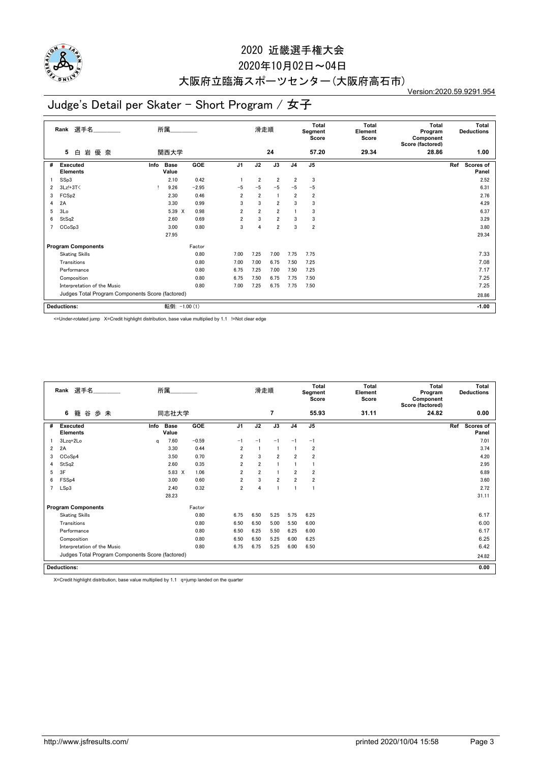

### 2020年10月02日~04日

## 大阪府立臨海スポーツセンター(大阪府高石市)

Version:2020.59.9291.954

## Judge's Detail per Skater - Short Program / 女子

|   | 選手名<br>所属<br>Rank<br>岩<br>優 奈<br>関西大学<br>白<br>5  |                              |            |                | 滑走順            |                |                | Total<br>Segment<br>Score | Total<br>Element<br>Score | <b>Total</b><br>Program<br>Component<br>Score (factored) | Total<br><b>Deductions</b> |
|---|--------------------------------------------------|------------------------------|------------|----------------|----------------|----------------|----------------|---------------------------|---------------------------|----------------------------------------------------------|----------------------------|
|   |                                                  |                              |            |                |                | 24             |                | 57.20                     | 29.34                     | 28.86                                                    | 1.00                       |
| # | Executed<br><b>Elements</b>                      | <b>Base</b><br>Info<br>Value | <b>GOE</b> | J <sub>1</sub> | J2             | J3             | J <sub>4</sub> | J5                        |                           |                                                          | Ref<br>Scores of<br>Panel  |
|   | SSp3                                             | 2.10                         | 0.42       |                | $\overline{2}$ | $\overline{2}$ | $\overline{2}$ | 3                         |                           |                                                          | 2.52                       |
| 2 | 3Lz!+3T<                                         | 9.26                         | $-2.95$    | $-5$           | $-5$           | $-5$           | $-5$           | $-5$                      |                           |                                                          | 6.31                       |
| 3 | FCS <sub>p2</sub>                                | 2.30                         | 0.46       | $\overline{2}$ | $\overline{2}$ | $\mathbf{1}$   | $\overline{2}$ | $\overline{2}$            |                           |                                                          | 2.76                       |
| 4 | 2A                                               | 3.30                         | 0.99       | 3              | 3              | $\overline{2}$ | 3              | 3                         |                           |                                                          | 4.29                       |
| 5 | 3Lo                                              | 5.39 X                       | 0.98       | $\overline{2}$ | $\overline{2}$ | $\overline{2}$ |                | 3                         |                           |                                                          | 6.37                       |
| 6 | StSq2                                            | 2.60                         | 0.69       | $\overline{2}$ | 3              | $\overline{2}$ | 3              | 3                         |                           |                                                          | 3.29                       |
| 7 | CCoSp3                                           | 3.00                         | 0.80       | 3              | $\overline{4}$ | $\overline{2}$ | 3              | $\overline{\mathbf{2}}$   |                           |                                                          | 3.80                       |
|   |                                                  | 27.95                        |            |                |                |                |                |                           |                           |                                                          | 29.34                      |
|   | <b>Program Components</b>                        |                              | Factor     |                |                |                |                |                           |                           |                                                          |                            |
|   | <b>Skating Skills</b>                            |                              | 0.80       | 7.00           | 7.25           | 7.00           | 7.75           | 7.75                      |                           |                                                          | 7.33                       |
|   | Transitions                                      |                              | 0.80       | 7.00           | 7.00           | 6.75           | 7.50           | 7.25                      |                           |                                                          | 7.08                       |
|   | Performance                                      |                              | 0.80       | 6.75           | 7.25           | 7.00           | 7.50           | 7.25                      |                           |                                                          | 7.17                       |
|   | Composition                                      |                              | 0.80       | 6.75           | 7.50           | 6.75           | 7.75           | 7.50                      |                           |                                                          | 7.25                       |
|   | Interpretation of the Music                      |                              | 0.80       | 7.00           | 7.25           | 6.75           | 7.75           | 7.50                      |                           |                                                          | 7.25                       |
|   | Judges Total Program Components Score (factored) |                              |            |                |                |                |                |                           |                           |                                                          | 28.86                      |
|   | <b>Deductions:</b>                               | 転倒: -1.00 (1)                |            |                |                |                |                |                           |                           |                                                          | $-1.00$                    |

<=Under-rotated jump X=Credit highlight distribution, base value multiplied by 1.1 !=Not clear edge

|   | 所属<br>Rank 選手名<br>歩未<br>谷<br>6<br>籠              |      |                      |         |                | 滑走順            |                |                | Total<br>Segment<br>Score | Total<br>Element<br>Score | Total<br>Program<br>Component<br>Score (factored) | <b>Total</b><br><b>Deductions</b> |
|---|--------------------------------------------------|------|----------------------|---------|----------------|----------------|----------------|----------------|---------------------------|---------------------------|---------------------------------------------------|-----------------------------------|
|   |                                                  |      | 同志社大学                |         |                |                | 7              |                | 55.93                     | 31.11                     | 24.82                                             | 0.00                              |
| # | Executed<br><b>Elements</b>                      | Info | <b>Base</b><br>Value | GOE     | J <sub>1</sub> | J2             | J3             | J <sub>4</sub> | J <sub>5</sub>            |                           |                                                   | Ref<br><b>Scores of</b><br>Panel  |
|   | 3Lzq+2Lo                                         | a    | 7.60                 | $-0.59$ | $-1$           | $-1$           | $-1$           | $-1$           | $-1$                      |                           |                                                   | 7.01                              |
| 2 | 2A                                               |      | 3.30                 | 0.44    | $\overline{2}$ |                |                |                | $\overline{2}$            |                           |                                                   | 3.74                              |
| 3 | CCoSp4                                           |      | 3.50                 | 0.70    | 2              | 3              | $\overline{2}$ | $\overline{2}$ | $\overline{2}$            |                           |                                                   | 4.20                              |
| 4 | StSq2                                            |      | 2.60                 | 0.35    | $\overline{2}$ | $\overline{2}$ |                |                |                           |                           |                                                   | 2.95                              |
| 5 | 3F                                               |      | 5.83 X               | 1.06    | $\overline{2}$ | $\overline{2}$ |                | $\overline{2}$ | $\overline{2}$            |                           |                                                   | 6.89                              |
| 6 | FSS <sub>p4</sub>                                |      | 3.00                 | 0.60    | $\overline{2}$ | 3              | $\overline{2}$ | $\overline{2}$ | $\overline{2}$            |                           |                                                   | 3.60                              |
|   | LSp3                                             |      | 2.40                 | 0.32    | $\overline{2}$ | $\overline{4}$ |                |                |                           |                           |                                                   | 2.72                              |
|   |                                                  |      | 28.23                |         |                |                |                |                |                           |                           |                                                   | 31.11                             |
|   | <b>Program Components</b>                        |      |                      | Factor  |                |                |                |                |                           |                           |                                                   |                                   |
|   | <b>Skating Skills</b>                            |      |                      | 0.80    | 6.75           | 6.50           | 5.25           | 5.75           | 6.25                      |                           |                                                   | 6.17                              |
|   | Transitions                                      |      |                      | 0.80    | 6.50           | 6.50           | 5.00           | 5.50           | 6.00                      |                           |                                                   | 6.00                              |
|   | Performance                                      |      |                      | 0.80    | 6.50           | 6.25           | 5.50           | 6.25           | 6.00                      |                           |                                                   | 6.17                              |
|   | Composition                                      |      |                      | 0.80    | 6.50           | 6.50           | 5.25           | 6.00           | 6.25                      |                           |                                                   | 6.25                              |
|   | Interpretation of the Music                      |      |                      | 0.80    | 6.75           | 6.75           | 5.25           | 6.00           | 6.50                      |                           |                                                   | 6.42                              |
|   | Judges Total Program Components Score (factored) |      |                      |         |                |                |                |                |                           |                           | 24.82                                             |                                   |
|   | <b>Deductions:</b>                               |      |                      |         |                |                |                |                |                           |                           |                                                   | 0.00                              |

X=Credit highlight distribution, base value multiplied by 1.1 q=jump landed on the quarter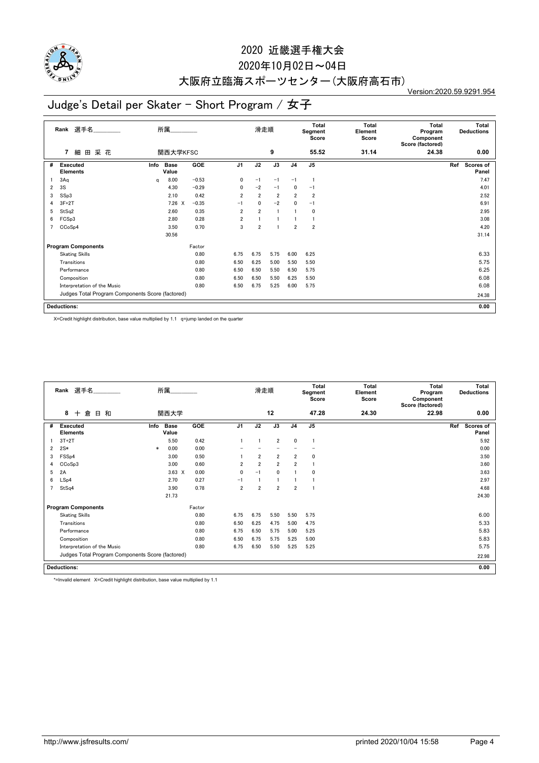

### 2020年10月02日~04日

# 大阪府立臨海スポーツセンター(大阪府高石市)

Version:2020.59.9291.954

## Judge's Detail per Skater - Short Program / 女子

|   | 選手名<br>所属<br>Rank<br>関西大学KFSC<br>采花<br>$\overline{7}$<br>細<br>田 |      |                      |            | 滑走順            |                |                | Total<br>Segment<br>Score | <b>Total</b><br>Element<br>Score | <b>Total</b><br>Program<br>Component<br>Score (factored) | <b>Total</b><br><b>Deductions</b> |                           |
|---|-----------------------------------------------------------------|------|----------------------|------------|----------------|----------------|----------------|---------------------------|----------------------------------|----------------------------------------------------------|-----------------------------------|---------------------------|
|   |                                                                 |      |                      |            |                |                | 9              |                           | 55.52                            | 31.14                                                    | 24.38                             | 0.00                      |
| # | <b>Executed</b><br><b>Elements</b>                              | Info | <b>Base</b><br>Value | <b>GOE</b> | J <sub>1</sub> | J2             | J3             | J <sub>4</sub>            | J <sub>5</sub>                   |                                                          |                                   | Ref<br>Scores of<br>Panel |
|   | 3Aq                                                             | a    | 8.00                 | $-0.53$    | 0              | $-1$           | $-1$           | $-1$                      | -1                               |                                                          |                                   | 7.47                      |
| 2 | 3S                                                              |      | 4.30                 | $-0.29$    | 0              | $-2$           | $-1$           | 0                         | $-1$                             |                                                          |                                   | 4.01                      |
| 3 | SSp3                                                            |      | 2.10                 | 0.42       | $\overline{2}$ | $\overline{2}$ | $\overline{2}$ | $\overline{2}$            | $\overline{2}$                   |                                                          |                                   | 2.52                      |
| 4 | $3F+2T$                                                         |      | $7.26 \times$        | $-0.35$    | $-1$           | $\mathbf{0}$   | $-2$           | 0                         | $-1$                             |                                                          |                                   | 6.91                      |
| 5 | StSq2                                                           |      | 2.60                 | 0.35       | $\overline{2}$ | $\overline{2}$ |                |                           | 0                                |                                                          |                                   | 2.95                      |
| 6 | FCSp3                                                           |      | 2.80                 | 0.28       | $\overline{2}$ |                |                |                           |                                  |                                                          |                                   | 3.08                      |
| 7 | CCoSp4                                                          |      | 3.50                 | 0.70       | 3              | $\overline{2}$ |                | $\overline{2}$            | $\overline{2}$                   |                                                          |                                   | 4.20                      |
|   |                                                                 |      | 30.56                |            |                |                |                |                           |                                  |                                                          |                                   | 31.14                     |
|   | <b>Program Components</b>                                       |      |                      | Factor     |                |                |                |                           |                                  |                                                          |                                   |                           |
|   | <b>Skating Skills</b>                                           |      |                      | 0.80       | 6.75           | 6.75           | 5.75           | 6.00                      | 6.25                             |                                                          |                                   | 6.33                      |
|   | Transitions                                                     |      |                      | 0.80       | 6.50           | 6.25           | 5.00           | 5.50                      | 5.50                             |                                                          |                                   | 5.75                      |
|   | Performance                                                     |      |                      | 0.80       | 6.50           | 6.50           | 5.50           | 6.50                      | 5.75                             |                                                          |                                   | 6.25                      |
|   | Composition                                                     |      |                      | 0.80       | 6.50           | 6.50           | 5.50           | 6.25                      | 5.50                             |                                                          |                                   | 6.08                      |
|   | Interpretation of the Music                                     |      |                      | 0.80       | 6.50           | 6.75           | 5.25           | 6.00                      | 5.75                             |                                                          |                                   | 6.08                      |
|   | Judges Total Program Components Score (factored)                |      |                      |            |                |                |                |                           |                                  |                                                          | 24.38                             |                           |
|   | <b>Deductions:</b>                                              |      |                      |            |                |                |                |                           |                                  |                                                          |                                   | 0.00                      |

X=Credit highlight distribution, base value multiplied by 1.1 q=jump landed on the quarter

|                | Rank 選手名                                         |        | 所属                   |            |                | 滑走順            |                |                | <b>Total</b><br>Segment<br>Score | <b>Total</b><br>Element<br>Score | Total<br>Program<br>Component<br>Score (factored) | Total<br><b>Deductions</b> |
|----------------|--------------------------------------------------|--------|----------------------|------------|----------------|----------------|----------------|----------------|----------------------------------|----------------------------------|---------------------------------------------------|----------------------------|
|                | 8<br>倉<br>日和<br>$+$                              |        | 関西大学                 |            |                |                | 12             |                | 47.28                            | 24.30                            | 22.98                                             | 0.00                       |
| #              | <b>Executed</b><br><b>Elements</b>               | Info   | <b>Base</b><br>Value | <b>GOE</b> | J <sub>1</sub> | J2             | J3             | J <sub>4</sub> | J5                               |                                  |                                                   | Ref<br>Scores of<br>Panel  |
|                | $3T+2T$                                          |        | 5.50                 | 0.42       |                |                | $\overline{2}$ | $\mathbf{0}$   |                                  |                                  |                                                   | 5.92                       |
| 2              | $2S*$                                            | $\ast$ | 0.00                 | 0.00       |                |                |                |                |                                  |                                  |                                                   | 0.00                       |
| 3              | FSS <sub>p4</sub>                                |        | 3.00                 | 0.50       |                | $\overline{2}$ | $\overline{2}$ | $\overline{2}$ | 0                                |                                  |                                                   | 3.50                       |
| 4              | CCoSp3                                           |        | 3.00                 | 0.60       | 2              | $\overline{2}$ | $\overline{2}$ | $\overline{2}$ |                                  |                                  |                                                   | 3.60                       |
| 5              | 2A                                               |        | $3.63 \times$        | 0.00       | $\mathbf{0}$   | $-1$           | 0              |                | $\mathbf 0$                      |                                  |                                                   | 3.63                       |
| 6              | LSp4                                             |        | 2.70                 | 0.27       | $-1$           |                | 1              |                |                                  |                                  |                                                   | 2.97                       |
| $\overline{ }$ | StSq4                                            |        | 3.90                 | 0.78       | $\overline{2}$ | $\overline{2}$ | $\overline{2}$ | $\overline{2}$ |                                  |                                  |                                                   | 4.68                       |
|                |                                                  |        | 21.73                |            |                |                |                |                |                                  |                                  |                                                   | 24.30                      |
|                | <b>Program Components</b>                        |        |                      | Factor     |                |                |                |                |                                  |                                  |                                                   |                            |
|                | <b>Skating Skills</b>                            |        |                      | 0.80       | 6.75           | 6.75           | 5.50           | 5.50           | 5.75                             |                                  |                                                   | 6.00                       |
|                | Transitions                                      |        |                      | 0.80       | 6.50           | 6.25           | 4.75           | 5.00           | 4.75                             |                                  |                                                   | 5.33                       |
|                | Performance                                      |        |                      | 0.80       | 6.75           | 6.50           | 5.75           | 5.00           | 5.25                             |                                  |                                                   | 5.83                       |
|                | Composition                                      |        |                      | 0.80       | 6.50           | 6.75           | 5.75           | 5.25           | 5.00                             |                                  |                                                   | 5.83                       |
|                | Interpretation of the Music<br>0.80              |        |                      |            | 6.75           | 6.50           | 5.50           | 5.25           | 5.25                             |                                  |                                                   | 5.75                       |
|                | Judges Total Program Components Score (factored) |        |                      |            |                |                |                |                |                                  | 22.98                            |                                                   |                            |
|                | <b>Deductions:</b>                               |        |                      |            |                |                |                |                |                                  |                                  |                                                   | 0.00                       |

\*=Invalid element X=Credit highlight distribution, base value multiplied by 1.1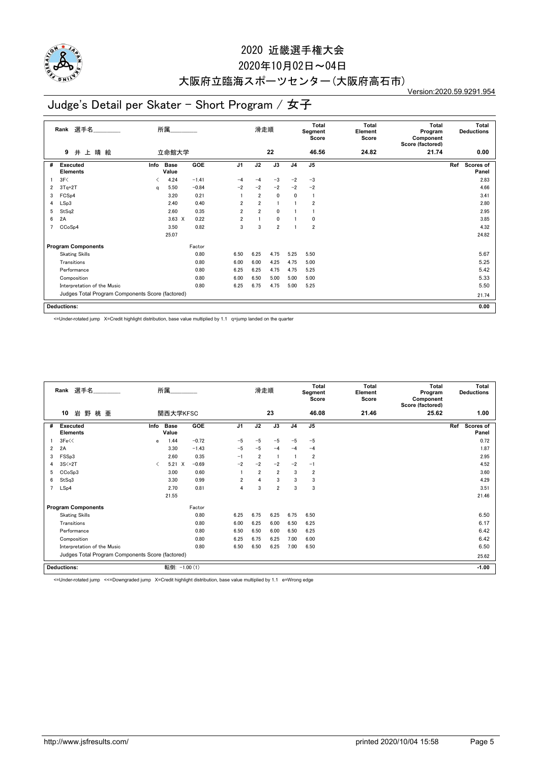

### 2020年10月02日~04日

## 大阪府立臨海スポーツセンター(大阪府高石市)

Version:2020.59.9291.954

## Judge's Detail per Skater - Short Program / 女子

|   | 選手名<br>所属<br>Rank<br>井上晴絵<br>立命館大学<br>9          |      |                      |         | 滑走順            |                |                | <b>Total</b><br>Segment<br>Score | <b>Total</b><br>Element<br>Score | <b>Total</b><br>Program<br>Component<br>Score (factored) | <b>Total</b><br><b>Deductions</b> |                           |
|---|--------------------------------------------------|------|----------------------|---------|----------------|----------------|----------------|----------------------------------|----------------------------------|----------------------------------------------------------|-----------------------------------|---------------------------|
|   |                                                  |      |                      |         |                |                | 22             |                                  | 46.56                            | 24.82                                                    | 21.74                             | 0.00                      |
| # | <b>Executed</b><br><b>Elements</b>               | Info | <b>Base</b><br>Value | GOE     | J <sub>1</sub> | J2             | J3             | J <sub>4</sub>                   | J <sub>5</sub>                   |                                                          |                                   | Ref<br>Scores of<br>Panel |
|   | 3F<                                              | ≺    | 4.24                 | $-1.41$ | $-4$           | $-4$           | $-3$           | $-2$                             | $-3$                             |                                                          |                                   | 2.83                      |
| 2 | $3Tq+2T$                                         | q    | 5.50                 | $-0.84$ | $-2$           | $-2$           | $-2$           | $-2$                             | $-2$                             |                                                          |                                   | 4.66                      |
| 3 | FCSp4                                            |      | 3.20                 | 0.21    |                | $\overline{2}$ | $\mathbf 0$    | 0                                | $\overline{1}$                   |                                                          |                                   | 3.41                      |
| 4 | LSp3                                             |      | 2.40                 | 0.40    | $\overline{2}$ | $\overline{2}$ |                |                                  | $\overline{2}$                   |                                                          |                                   | 2.80                      |
| 5 | StSq2                                            |      | 2.60                 | 0.35    | $\overline{2}$ | $\overline{2}$ | 0              |                                  |                                  |                                                          |                                   | 2.95                      |
| 6 | 2A                                               |      | $3.63 \times$        | 0.22    | $\overline{2}$ |                | 0              |                                  | 0                                |                                                          |                                   | 3.85                      |
| 7 | CCoSp4                                           |      | 3.50                 | 0.82    | 3              | 3              | $\overline{2}$ |                                  | $\overline{2}$                   |                                                          |                                   | 4.32                      |
|   |                                                  |      | 25.07                |         |                |                |                |                                  |                                  |                                                          |                                   | 24.82                     |
|   | <b>Program Components</b>                        |      |                      | Factor  |                |                |                |                                  |                                  |                                                          |                                   |                           |
|   | <b>Skating Skills</b>                            |      |                      | 0.80    | 6.50           | 6.25           | 4.75           | 5.25                             | 5.50                             |                                                          |                                   | 5.67                      |
|   | Transitions                                      |      |                      | 0.80    | 6.00           | 6.00           | 4.25           | 4.75                             | 5.00                             |                                                          |                                   | 5.25                      |
|   | Performance                                      |      |                      | 0.80    | 6.25           | 6.25           | 4.75           | 4.75                             | 5.25                             |                                                          |                                   | 5.42                      |
|   | Composition                                      |      |                      | 0.80    | 6.00           | 6.50           | 5.00           | 5.00                             | 5.00                             |                                                          |                                   | 5.33                      |
|   | Interpretation of the Music                      |      |                      | 0.80    | 6.25           | 6.75           | 4.75           | 5.00                             | 5.25                             |                                                          |                                   | 5.50                      |
|   | Judges Total Program Components Score (factored) |      |                      |         |                |                |                |                                  |                                  |                                                          |                                   | 21.74                     |
|   | <b>Deductions:</b>                               |      |                      |         |                |                |                |                                  |                                  |                                                          |                                   | 0.00                      |

<=Under-rotated jump X=Credit highlight distribution, base value multiplied by 1.1 q=jump landed on the quarter

|   | Rank 選手名                                         |           | 所属                   |         |                | 滑走順            |                |                | Total<br>Segment<br>Score | <b>Total</b><br>Element<br>Score | Total<br>Program<br>Component<br>Score (factored) | <b>Total</b><br><b>Deductions</b> |
|---|--------------------------------------------------|-----------|----------------------|---------|----------------|----------------|----------------|----------------|---------------------------|----------------------------------|---------------------------------------------------|-----------------------------------|
|   | 10<br>岩<br>野<br>桃 亜                              |           | 関西大学KFSC             |         |                |                | 23             |                | 46.08                     | 21.46                            | 25.62                                             | 1.00                              |
| # | <b>Executed</b><br><b>Elements</b>               | Info      | <b>Base</b><br>Value | GOE     | J <sub>1</sub> | J2             | J3             | J <sub>4</sub> | J <sub>5</sub>            |                                  |                                                   | Ref<br>Scores of<br>Panel         |
|   | 3Fe<                                             | e         | 1.44                 | $-0.72$ | $-5$           | $-5$           | $-5$           | $-5$           | $-5$                      |                                  |                                                   | 0.72                              |
| 2 | 2A                                               |           | 3.30                 | $-1.43$ | $-5$           | $-5$           | $-4$           | $-4$           | $-4$                      |                                  |                                                   | 1.87                              |
| 3 | FSSp3                                            |           | 2.60                 | 0.35    | $-1$           | $\overline{2}$ | -1             |                | $\overline{2}$            |                                  |                                                   | 2.95                              |
|   | $3S<+2T$                                         | $\langle$ | $5.21 \t X$          | $-0.69$ | $-2$           | $-2$           | $-2$           | $-2$           | $-1$                      |                                  |                                                   | 4.52                              |
| 5 | CCoSp3                                           |           | 3.00                 | 0.60    |                | $\overline{2}$ | $\overline{2}$ | 3              | $\overline{2}$            |                                  |                                                   | 3.60                              |
| 6 | StSq3                                            |           | 3.30                 | 0.99    | $\overline{2}$ | $\Delta$       | 3              | 3              | 3                         |                                  |                                                   | 4.29                              |
|   | LSp4                                             |           | 2.70                 | 0.81    | 4              | 3              | $\overline{2}$ | 3              | 3                         |                                  |                                                   | 3.51                              |
|   |                                                  |           | 21.55                |         |                |                |                |                |                           |                                  |                                                   | 21.46                             |
|   | <b>Program Components</b>                        |           |                      | Factor  |                |                |                |                |                           |                                  |                                                   |                                   |
|   | <b>Skating Skills</b>                            |           |                      | 0.80    | 6.25           | 6.75           | 6.25           | 6.75           | 6.50                      |                                  |                                                   | 6.50                              |
|   | Transitions                                      |           |                      | 0.80    | 6.00           | 6.25           | 6.00           | 6.50           | 6.25                      |                                  |                                                   | 6.17                              |
|   | Performance                                      |           |                      | 0.80    | 6.50           | 6.50           | 6.00           | 6.50           | 6.25                      |                                  |                                                   | 6.42                              |
|   | Composition                                      |           |                      | 0.80    | 6.25           | 6.75           | 6.25           | 7.00           | 6.00                      |                                  |                                                   | 6.42                              |
|   | Interpretation of the Music                      |           |                      | 0.80    | 6.50           | 6.50           | 6.25           | 7.00           | 6.50                      |                                  |                                                   | 6.50                              |
|   | Judges Total Program Components Score (factored) |           |                      |         |                |                |                |                |                           |                                  | 25.62                                             |                                   |
|   | <b>Deductions:</b>                               |           | 転倒: -1.00 (1)        |         |                |                |                |                |                           |                                  |                                                   | $-1.00$                           |

<=Under-rotated jump <<=Downgraded jump X=Credit highlight distribution, base value multiplied by 1.1 e=Wrong edge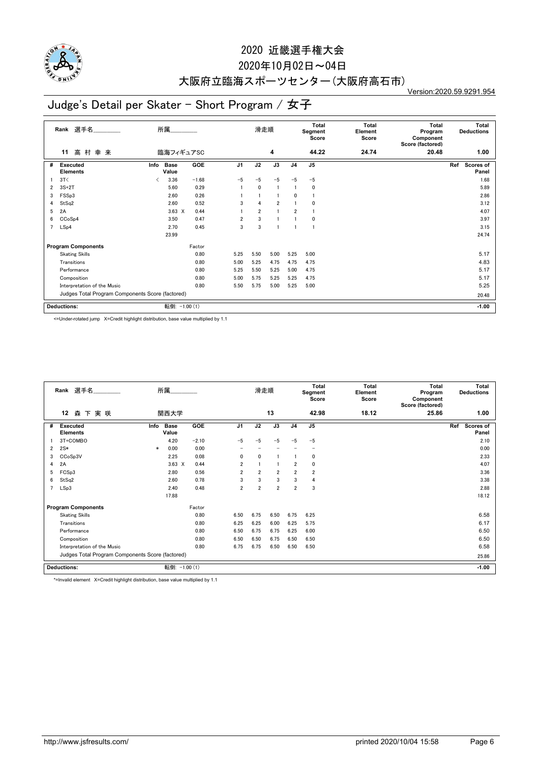

### 2020年10月02日~04日

# 大阪府立臨海スポーツセンター(大阪府高石市)

Version:2020.59.9291.954

## Judge's Detail per Skater - Short Program / 女子

|   | Rank 選手名                                         | 所属                           |            |                | 滑走順            |                |                | Total<br>Segment<br>Score | <b>Total</b><br>Element<br>Score | <b>Total</b><br>Program<br>Component<br>Score (factored) | Total<br><b>Deductions</b> |
|---|--------------------------------------------------|------------------------------|------------|----------------|----------------|----------------|----------------|---------------------------|----------------------------------|----------------------------------------------------------|----------------------------|
|   | 高 村<br>幸来<br>11                                  | 臨海フィギュアSC                    |            |                |                | 4              |                | 44.22                     | 24.74                            | 20.48                                                    | 1.00                       |
| # | <b>Executed</b><br><b>Elements</b>               | <b>Base</b><br>Info<br>Value | <b>GOE</b> | J <sub>1</sub> | J2             | J3             | J <sub>4</sub> | J <sub>5</sub>            |                                  |                                                          | Scores of<br>Ref<br>Panel  |
|   | 3T<                                              | 3.36<br>✓                    | $-1.68$    | $-5$           | $-5$           | $-5$           | $-5$           | $-5$                      |                                  |                                                          | 1.68                       |
| 2 | $3S+2T$                                          | 5.60                         | 0.29       |                | $\mathbf{0}$   | -1             |                | 0                         |                                  |                                                          | 5.89                       |
| 3 | FSSp3                                            | 2.60                         | 0.26       |                |                |                | 0              |                           |                                  |                                                          | 2.86                       |
| 4 | StSq2                                            | 2.60                         | 0.52       | 3              | $\overline{4}$ | $\overline{2}$ |                | 0                         |                                  |                                                          | 3.12                       |
| 5 | 2A                                               | $3.63 \times$                | 0.44       |                | $\overline{2}$ | $\mathbf{1}$   | $\overline{2}$ | f                         |                                  |                                                          | 4.07                       |
| 6 | CCoSp4                                           | 3.50                         | 0.47       | $\overline{2}$ | 3              | $\overline{1}$ |                | 0                         |                                  |                                                          | 3.97                       |
| 7 | LSp4                                             | 2.70                         | 0.45       | 3              | 3              |                |                | f,                        |                                  |                                                          | 3.15                       |
|   |                                                  | 23.99                        |            |                |                |                |                |                           |                                  |                                                          | 24.74                      |
|   | <b>Program Components</b>                        |                              | Factor     |                |                |                |                |                           |                                  |                                                          |                            |
|   | <b>Skating Skills</b>                            |                              | 0.80       | 5.25           | 5.50           | 5.00           | 5.25           | 5.00                      |                                  |                                                          | 5.17                       |
|   | Transitions                                      |                              | 0.80       | 5.00           | 5.25           | 4.75           | 4.75           | 4.75                      |                                  |                                                          | 4.83                       |
|   | Performance                                      |                              | 0.80       | 5.25           | 5.50           | 5.25           | 5.00           | 4.75                      |                                  |                                                          | 5.17                       |
|   | Composition                                      |                              | 0.80       | 5.00           | 5.75           | 5.25           | 5.25           | 4.75                      |                                  |                                                          | 5.17                       |
|   | Interpretation of the Music                      |                              | 0.80       | 5.50           | 5.75           | 5.00           | 5.25           | 5.00                      |                                  |                                                          | 5.25                       |
|   | Judges Total Program Components Score (factored) |                              |            |                |                |                |                |                           |                                  |                                                          | 20.48                      |
|   | Deductions:                                      | 転倒: -1.00 (1)                |            |                |                |                |                |                           |                                  |                                                          | $-1.00$                    |

<=Under-rotated jump X=Credit highlight distribution, base value multiplied by 1.1

|                | 所属<br>Rank 選手名<br>12<br>森下実咲<br>関西大学             |        |                      |            | 滑走順            |                |                | <b>Total</b><br>Segment<br>Score | Total<br>Element<br>Score | <b>Total</b><br>Program<br>Component<br>Score (factored) |       | <b>Total</b><br><b>Deductions</b> |                    |
|----------------|--------------------------------------------------|--------|----------------------|------------|----------------|----------------|----------------|----------------------------------|---------------------------|----------------------------------------------------------|-------|-----------------------------------|--------------------|
|                |                                                  |        |                      |            |                |                | 13             |                                  | 42.98                     | 18.12                                                    | 25.86 |                                   | 1.00               |
| #              | <b>Executed</b><br><b>Elements</b>               | Info   | <b>Base</b><br>Value | <b>GOE</b> | J <sub>1</sub> | J2             | J3             | J <sub>4</sub>                   | J <sub>5</sub>            |                                                          |       | Ref                               | Scores of<br>Panel |
|                | 3T+COMBO                                         |        | 4.20                 | $-2.10$    | $-5$           | -5             | $-5$           | $-5$                             | $-5$                      |                                                          |       |                                   | 2.10               |
| $\overline{2}$ | $2S*$                                            | $\ast$ | 0.00                 | 0.00       |                |                |                |                                  |                           |                                                          |       |                                   | 0.00               |
| 3              | CCoSp3V                                          |        | 2.25                 | 0.08       | $\mathbf{0}$   | $\mathbf{0}$   |                |                                  | 0                         |                                                          |       |                                   | 2.33               |
| 4              | 2A                                               |        | $3.63 \times$        | 0.44       | $\overline{2}$ |                |                | $\overline{2}$                   | 0                         |                                                          |       |                                   | 4.07               |
| 5              | FCSp3                                            |        | 2.80                 | 0.56       | $\overline{2}$ | $\overline{2}$ | $\overline{2}$ | $\overline{2}$                   | $\overline{2}$            |                                                          |       |                                   | 3.36               |
| 6              | StSq2                                            |        | 2.60                 | 0.78       | 3              | 3              | 3              | 3                                | 4                         |                                                          |       |                                   | 3.38               |
| 7              | LSp3                                             |        | 2.40                 | 0.48       | $\overline{2}$ | $\overline{2}$ | $\overline{2}$ | $\overline{2}$                   | 3                         |                                                          |       |                                   | 2.88               |
|                |                                                  |        | 17.88                |            |                |                |                |                                  |                           |                                                          |       |                                   | 18.12              |
|                | <b>Program Components</b>                        |        |                      | Factor     |                |                |                |                                  |                           |                                                          |       |                                   |                    |
|                | <b>Skating Skills</b>                            |        |                      | 0.80       | 6.50           | 6.75           | 6.50           | 6.75                             | 6.25                      |                                                          |       |                                   | 6.58               |
|                | Transitions                                      |        |                      | 0.80       | 6.25           | 6.25           | 6.00           | 6.25                             | 5.75                      |                                                          |       |                                   | 6.17               |
|                | Performance                                      |        |                      | 0.80       | 6.50           | 6.75           | 6.75           | 6.25                             | 6.00                      |                                                          |       |                                   | 6.50               |
|                | Composition                                      |        |                      | 0.80       | 6.50           | 6.50           | 6.75           | 6.50                             | 6.50                      |                                                          |       |                                   | 6.50               |
|                | Interpretation of the Music                      |        |                      | 0.80       | 6.75           | 6.75           | 6.50           | 6.50                             | 6.50                      |                                                          |       |                                   | 6.58               |
|                | Judges Total Program Components Score (factored) |        |                      |            |                |                |                |                                  |                           | 25.86                                                    |       |                                   |                    |
|                | <b>Deductions:</b>                               |        | 転倒: -1.00 (1)        |            |                |                |                |                                  |                           |                                                          |       |                                   | $-1.00$            |

\*=Invalid element X=Credit highlight distribution, base value multiplied by 1.1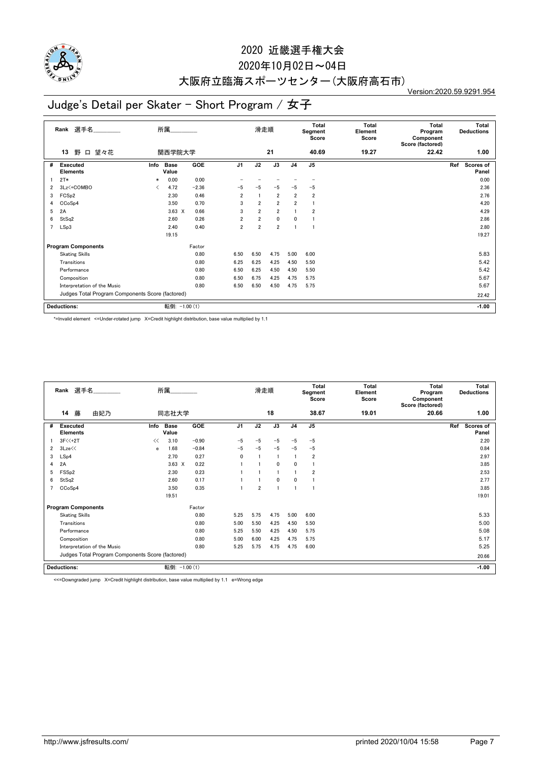

#### 2020年10月02日~04日

## 大阪府立臨海スポーツセンター(大阪府高石市)

Version:2020.59.9291.954

## Judge's Detail per Skater - Short Program / 女子

|   | 選手名<br>Rank                                      |        | 所属                   |            |                | 滑走順            |                |                | Total<br>Segment<br>Score | Total<br>Element<br>Score | <b>Total</b><br>Program<br>Component<br>Score (factored) | <b>Total</b><br><b>Deductions</b> |  |
|---|--------------------------------------------------|--------|----------------------|------------|----------------|----------------|----------------|----------------|---------------------------|---------------------------|----------------------------------------------------------|-----------------------------------|--|
|   | 望々花<br>野<br>$\Box$<br>13                         |        | 関西学院大学               |            |                |                | 21             |                | 40.69                     | 19.27                     | 22.42                                                    | 1.00                              |  |
| # | <b>Executed</b><br><b>Elements</b>               | Info   | <b>Base</b><br>Value | GOE        | J <sub>1</sub> | J2             | J3             | J <sub>4</sub> | J5                        |                           |                                                          | Ref<br>Scores of<br>Panel         |  |
|   | $2T*$                                            | $\ast$ | 0.00                 | 0.00       |                |                |                |                |                           |                           |                                                          | 0.00                              |  |
| 2 | 3Lz <+ COMBO                                     | ✓      | 4.72                 | $-2.36$    | -5             | $-5$           | $-5$           | $-5$           | $-5$                      |                           |                                                          | 2.36                              |  |
| 3 | FCS <sub>p2</sub>                                |        | 2.30                 | 0.46       | $\overline{2}$ | $\mathbf{1}$   | $\overline{2}$ | $\overline{2}$ | $\overline{\mathbf{2}}$   |                           |                                                          | 2.76                              |  |
| 4 | CCoSp4                                           |        | 3.50                 | 0.70       | 3              | $\overline{2}$ | $\overline{2}$ | $\overline{2}$ |                           |                           |                                                          | 4.20                              |  |
| 5 | 2A                                               |        | $3.63 \times$        | 0.66       | 3              | $\overline{2}$ | $\overline{2}$ |                | 2                         |                           |                                                          | 4.29                              |  |
| 6 | StSq2                                            |        | 2.60                 | 0.26       | $\overline{2}$ | $\overline{2}$ | $\mathbf 0$    | 0              |                           |                           |                                                          | 2.86                              |  |
| 7 | LSp3                                             |        | 2.40                 | 0.40       | $\overline{2}$ | $\overline{2}$ | $\overline{2}$ |                |                           |                           |                                                          | 2.80                              |  |
|   |                                                  |        | 19.15                |            |                |                |                |                |                           |                           |                                                          | 19.27                             |  |
|   | <b>Program Components</b>                        |        |                      | Factor     |                |                |                |                |                           |                           |                                                          |                                   |  |
|   | <b>Skating Skills</b>                            |        |                      | 0.80       | 6.50           | 6.50           | 4.75           | 5.00           | 6.00                      |                           |                                                          | 5.83                              |  |
|   | Transitions                                      |        |                      | 0.80       | 6.25           | 6.25           | 4.25           | 4.50           | 5.50                      |                           |                                                          | 5.42                              |  |
|   | Performance                                      |        |                      | 0.80       | 6.50           | 6.25           | 4.50           | 4.50           | 5.50                      |                           |                                                          | 5.42                              |  |
|   | Composition                                      |        |                      | 0.80       | 6.50           | 6.75           | 4.25           | 4.75           | 5.75                      |                           |                                                          | 5.67                              |  |
|   | Interpretation of the Music                      |        |                      | 0.80       | 6.50           | 6.50           | 4.50           | 4.75           | 5.75                      |                           |                                                          | 5.67                              |  |
|   | Judges Total Program Components Score (factored) |        |                      |            |                |                |                |                |                           |                           |                                                          | 22.42                             |  |
|   | <b>Deductions:</b>                               |        | 転倒:                  | $-1.00(1)$ |                |                |                |                |                           |                           |                                                          | $-1.00$                           |  |

\*=Invalid element <=Under-rotated jump X=Credit highlight distribution, base value multiplied by 1.1

|   | Rank 選手名                              |                             |                                                  | 所属                   |         |                | 滑走順            |              |                | Total<br>Segment<br>Score | Total<br>Element<br>Score | Total<br>Program<br>Component<br>Score (factored) | <b>Total</b><br><b>Deductions</b> |
|---|---------------------------------------|-----------------------------|--------------------------------------------------|----------------------|---------|----------------|----------------|--------------|----------------|---------------------------|---------------------------|---------------------------------------------------|-----------------------------------|
|   | 藤<br>14                               | 由妃乃                         |                                                  | 同志社大学                |         |                |                | 18           |                | 38.67                     | 19.01                     | 20.66                                             | 1.00                              |
| # | <b>Executed</b><br><b>Elements</b>    |                             | Info                                             | <b>Base</b><br>Value | GOE     | J <sub>1</sub> | J2             | J3           | J <sub>4</sub> | J <sub>5</sub>            |                           |                                                   | Ref<br><b>Scores of</b><br>Panel  |
|   | $3F<<+2T$                             |                             | <<                                               | 3.10                 | $-0.90$ | $-5$           | $-5$           | $-5$         | $-5$           | $-5$                      |                           |                                                   | 2.20                              |
| 2 | 3Lze <sup><math>&lt;&lt;</math></sup> |                             | e                                                | 1.68                 | $-0.84$ | $-5$           | $-5$           | $-5$         | $-5$           | $-5$                      |                           |                                                   | 0.84                              |
| 3 | LSp4                                  |                             |                                                  | 2.70                 | 0.27    | $\mathbf{0}$   |                | -1           |                | $\overline{2}$            |                           |                                                   | 2.97                              |
| 4 | 2A                                    |                             |                                                  | $3.63 \times$        | 0.22    |                |                | $\mathbf{0}$ | 0              |                           |                           |                                                   | 3.85                              |
| 5 | FSS <sub>p2</sub>                     |                             |                                                  | 2.30                 | 0.23    |                |                |              |                | $\overline{2}$            |                           |                                                   | 2.53                              |
| 6 | StSq2                                 |                             |                                                  | 2.60                 | 0.17    |                |                | $\mathbf{0}$ | 0              |                           |                           |                                                   | 2.77                              |
|   | CCoSp4                                |                             |                                                  | 3.50                 | 0.35    |                | $\overline{2}$ |              |                |                           |                           |                                                   | 3.85                              |
|   |                                       |                             |                                                  | 19.51                |         |                |                |              |                |                           |                           |                                                   | 19.01                             |
|   | <b>Program Components</b>             |                             |                                                  |                      | Factor  |                |                |              |                |                           |                           |                                                   |                                   |
|   | <b>Skating Skills</b>                 |                             |                                                  |                      | 0.80    | 5.25           | 5.75           | 4.75         | 5.00           | 6.00                      |                           |                                                   | 5.33                              |
|   | Transitions                           |                             |                                                  |                      | 0.80    | 5.00           | 5.50           | 4.25         | 4.50           | 5.50                      |                           |                                                   | 5.00                              |
|   | Performance                           |                             |                                                  |                      | 0.80    | 5.25           | 5.50           | 4.25         | 4.50           | 5.75                      |                           |                                                   | 5.08                              |
|   | Composition                           |                             |                                                  |                      | 0.80    | 5.00           | 6.00           | 4.25         | 4.75           | 5.75                      |                           |                                                   | 5.17                              |
|   |                                       | Interpretation of the Music |                                                  |                      | 0.80    | 5.25           | 5.75           | 4.75         | 4.75           | 6.00                      |                           |                                                   | 5.25                              |
|   |                                       |                             | Judges Total Program Components Score (factored) |                      |         |                |                |              |                |                           |                           |                                                   | 20.66                             |
|   | <b>Deductions:</b>                    |                             |                                                  | 転倒: -1.00 (1)        |         |                |                |              |                |                           |                           |                                                   | $-1.00$                           |

<<=Downgraded jump X=Credit highlight distribution, base value multiplied by 1.1 e=Wrong edge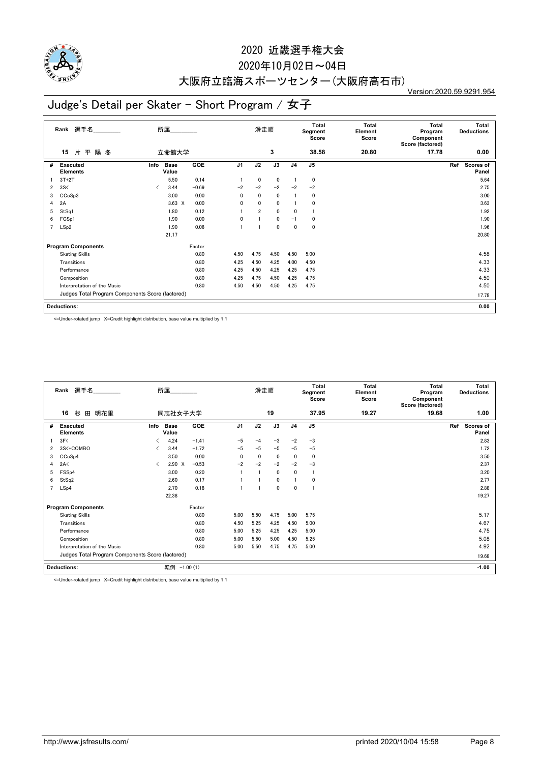

### 2020年10月02日~04日

# 大阪府立臨海スポーツセンター(大阪府高石市)

Version:2020.59.9291.954

## Judge's Detail per Skater - Short Program / 女子

|   | 選手名<br>Rank                                      | 所属   |                      |            |                | 滑走順            |                 |                | Total<br>Segment<br>Score | <b>Total</b><br>Element<br>Score | <b>Total</b><br>Program<br>Component<br>Score (factored) | Total<br><b>Deductions</b> |
|---|--------------------------------------------------|------|----------------------|------------|----------------|----------------|-----------------|----------------|---------------------------|----------------------------------|----------------------------------------------------------|----------------------------|
|   | 片平陽冬<br>15                                       |      | 立命館大学                |            |                |                | 3               |                | 38.58                     | 20.80                            | 17.78                                                    | 0.00                       |
| # | <b>Executed</b><br><b>Elements</b>               | Info | <b>Base</b><br>Value | <b>GOE</b> | J <sub>1</sub> | J2             | $\overline{J3}$ | J <sub>4</sub> | J <sub>5</sub>            |                                  |                                                          | Ref<br>Scores of<br>Panel  |
|   | $3T+2T$                                          |      | 5.50                 | 0.14       |                | 0              | $\mathbf 0$     |                | 0                         |                                  |                                                          | 5.64                       |
| 2 | 3S<                                              | ✓    | 3.44                 | $-0.69$    | $-2$           | $-2$           | $-2$            | $-2$           | $-2$                      |                                  |                                                          | 2.75                       |
| 3 | CCoSp3                                           |      | 3.00                 | 0.00       | 0              | $\mathbf{0}$   | $\mathbf 0$     |                | 0                         |                                  |                                                          | 3.00                       |
| 4 | 2A                                               |      | $3.63 \times$        | 0.00       | 0              | $\mathbf{0}$   | $\mathbf 0$     |                | 0                         |                                  |                                                          | 3.63                       |
| 5 | StSq1                                            |      | 1.80                 | 0.12       |                | $\overline{2}$ | $\mathbf 0$     | 0              |                           |                                  |                                                          | 1.92                       |
| 6 | FCSp1                                            |      | 1.90                 | 0.00       | 0              |                | $\mathbf 0$     | $-1$           | 0                         |                                  |                                                          | 1.90                       |
| 7 | LSp2                                             |      | 1.90                 | 0.06       |                |                | $\mathbf{0}$    | $\mathbf{0}$   | 0                         |                                  |                                                          | 1.96                       |
|   |                                                  |      | 21.17                |            |                |                |                 |                |                           |                                  |                                                          | 20.80                      |
|   | <b>Program Components</b>                        |      |                      | Factor     |                |                |                 |                |                           |                                  |                                                          |                            |
|   | <b>Skating Skills</b>                            |      |                      | 0.80       | 4.50           | 4.75           | 4.50            | 4.50           | 5.00                      |                                  |                                                          | 4.58                       |
|   | Transitions                                      |      |                      | 0.80       | 4.25           | 4.50           | 4.25            | 4.00           | 4.50                      |                                  |                                                          | 4.33                       |
|   | Performance                                      |      |                      | 0.80       | 4.25           | 4.50           | 4.25            | 4.25           | 4.75                      |                                  |                                                          | 4.33                       |
|   | Composition                                      |      |                      | 0.80       | 4.25           | 4.75           | 4.50            | 4.25           | 4.75                      |                                  |                                                          | 4.50                       |
|   | Interpretation of the Music                      |      |                      | 0.80       | 4.50           | 4.50           | 4.50            | 4.25           | 4.75                      |                                  |                                                          | 4.50                       |
|   | Judges Total Program Components Score (factored) |      |                      |            |                |                |                 |                |                           |                                  |                                                          | 17.78                      |
|   | <b>Deductions:</b>                               |      |                      |            |                |                |                 |                |                           |                                  |                                                          | 0.00                       |

<=Under-rotated jump X=Credit highlight distribution, base value multiplied by 1.1

|   | Rank 選手名                                         |      | 所属                   |            |                | 滑走順  |              |                | <b>Total</b><br>Segment<br>Score | <b>Total</b><br>Element<br>Score | <b>Total</b><br>Program<br>Component<br>Score (factored) |     | <b>Total</b><br><b>Deductions</b> |
|---|--------------------------------------------------|------|----------------------|------------|----------------|------|--------------|----------------|----------------------------------|----------------------------------|----------------------------------------------------------|-----|-----------------------------------|
|   | 16<br>杉<br>田 明花里                                 |      | 同志社女子大学              |            |                |      | 19           |                | 37.95                            | 19.27                            | 19.68                                                    |     | 1.00                              |
| # | <b>Executed</b><br><b>Elements</b>               | Info | <b>Base</b><br>Value | <b>GOE</b> | J <sub>1</sub> | J2   | J3           | J <sub>4</sub> | J <sub>5</sub>                   |                                  |                                                          | Ref | Scores of<br>Panel                |
|   | 3F<                                              | ✓    | 4.24                 | $-1.41$    | $-5$           | $-4$ | $-3$         | $-2$           | $-3$                             |                                  |                                                          |     | 2.83                              |
| 2 | 3S<+COMBO                                        | ✓    | 3.44                 | $-1.72$    | $-5$           | $-5$ | $-5$         | $-5$           | $-5$                             |                                  |                                                          |     | 1.72                              |
| 3 | CCoSp4                                           |      | 3.50                 | 0.00       | $\mathbf{0}$   | 0    | 0            | $\mathbf{0}$   | $\mathbf 0$                      |                                  |                                                          |     | 3.50                              |
| 4 | 2A<                                              | ≺    | 2.90 X               | $-0.53$    | $-2$           | $-2$ | $-2$         | $-2$           | $-3$                             |                                  |                                                          |     | 2.37                              |
| 5 | FSS <sub>p4</sub>                                |      | 3.00                 | 0.20       |                |      | $\mathbf{0}$ | $\mathbf{0}$   |                                  |                                  |                                                          |     | 3.20                              |
| 6 | StSq2                                            |      | 2.60                 | 0.17       |                |      | 0            |                | 0                                |                                  |                                                          |     | 2.77                              |
| 7 | LSp4                                             |      | 2.70                 | 0.18       |                |      | 0            | $\mathbf{0}$   |                                  |                                  |                                                          |     | 2.88                              |
|   |                                                  |      | 22.38                |            |                |      |              |                |                                  |                                  |                                                          |     | 19.27                             |
|   | <b>Program Components</b>                        |      |                      | Factor     |                |      |              |                |                                  |                                  |                                                          |     |                                   |
|   | <b>Skating Skills</b>                            |      |                      | 0.80       | 5.00           | 5.50 | 4.75         | 5.00           | 5.75                             |                                  |                                                          |     | 5.17                              |
|   | Transitions                                      |      |                      | 0.80       | 4.50           | 5.25 | 4.25         | 4.50           | 5.00                             |                                  |                                                          |     | 4.67                              |
|   | Performance                                      |      |                      | 0.80       | 5.00           | 5.25 | 4.25         | 4.25           | 5.00                             |                                  |                                                          |     | 4.75                              |
|   | Composition                                      |      |                      | 0.80       | 5.00           | 5.50 | 5.00         | 4.50           | 5.25                             |                                  |                                                          |     | 5.08                              |
|   | Interpretation of the Music                      |      |                      | 0.80       | 5.00           | 5.50 | 4.75         | 4.75           | 5.00                             |                                  |                                                          |     | 4.92                              |
|   | Judges Total Program Components Score (factored) |      |                      |            |                |      |              |                |                                  |                                  |                                                          |     | 19.68                             |
|   | <b>Deductions:</b>                               |      | 転倒: -1.00 (1)        |            |                |      |              |                |                                  |                                  |                                                          |     | $-1.00$                           |

<=Under-rotated jump X=Credit highlight distribution, base value multiplied by 1.1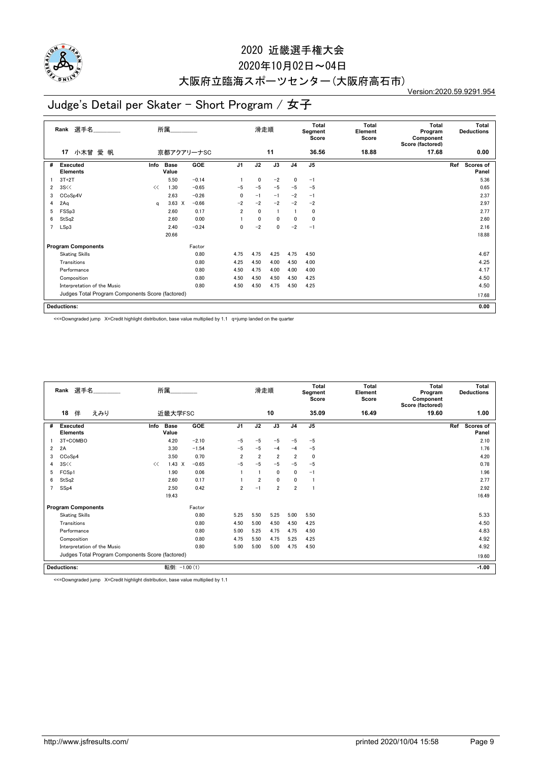

### 2020年10月02日~04日

## 大阪府立臨海スポーツセンター(大阪府高石市)

Version:2020.59.9291.954

## Judge's Detail per Skater - Short Program / 女子

|   | 選手名<br>Rank                                      |      | 所属            |            |                | 滑走順      |      |                | Total<br>Segment<br>Score | <b>Total</b><br>Element<br>Score | <b>Total</b><br>Program<br>Component<br>Score (factored) |     | <b>Total</b><br><b>Deductions</b> |
|---|--------------------------------------------------|------|---------------|------------|----------------|----------|------|----------------|---------------------------|----------------------------------|----------------------------------------------------------|-----|-----------------------------------|
|   | 小木曾 愛 帆<br>17                                    |      | 京都アクアリーナSC    |            |                |          | 11   |                | 36.56                     | 18.88                            | 17.68                                                    |     | 0.00                              |
| # | <b>Executed</b><br><b>Elements</b>               | Info | Base<br>Value | <b>GOE</b> | J <sub>1</sub> | J2       | J3   | J <sub>4</sub> | J <sub>5</sub>            |                                  |                                                          | Ref | <b>Scores of</b><br>Panel         |
|   | $3T+2T$                                          |      | 5.50          | $-0.14$    |                | 0        | $-2$ | 0              | $-1$                      |                                  |                                                          |     | 5.36                              |
| 2 | 3S <                                             | <<   | 1.30          | $-0.65$    | $-5$           | $-5$     | $-5$ | $-5$           | $-5$                      |                                  |                                                          |     | 0.65                              |
| 3 | CCoSp4V                                          |      | 2.63          | $-0.26$    | 0              | $-1$     | $-1$ | $-2$           | $-1$                      |                                  |                                                          |     | 2.37                              |
| 4 | 2Aq                                              | a    | $3.63 \times$ | $-0.66$    | $-2$           | $-2$     | $-2$ | $-2$           | $-2$                      |                                  |                                                          |     | 2.97                              |
| 5 | FSSp3                                            |      | 2.60          | 0.17       | $\overline{2}$ | 0        |      |                | 0                         |                                  |                                                          |     | 2.77                              |
| 6 | StSq2                                            |      | 2.60          | 0.00       |                | $\Omega$ | 0    | 0              | 0                         |                                  |                                                          |     | 2.60                              |
| 7 | LSp3                                             |      | 2.40          | $-0.24$    | 0              | $-2$     | 0    | $-2$           | $-1$                      |                                  |                                                          |     | 2.16                              |
|   |                                                  |      | 20.66         |            |                |          |      |                |                           |                                  |                                                          |     | 18.88                             |
|   | <b>Program Components</b>                        |      |               | Factor     |                |          |      |                |                           |                                  |                                                          |     |                                   |
|   | <b>Skating Skills</b>                            |      |               | 0.80       | 4.75           | 4.75     | 4.25 | 4.75           | 4.50                      |                                  |                                                          |     | 4.67                              |
|   | Transitions                                      |      |               | 0.80       | 4.25           | 4.50     | 4.00 | 4.50           | 4.00                      |                                  |                                                          |     | 4.25                              |
|   | Performance                                      |      |               | 0.80       | 4.50           | 4.75     | 4.00 | 4.00           | 4.00                      |                                  |                                                          |     | 4.17                              |
|   | Composition                                      |      |               | 0.80       | 4.50           | 4.50     | 4.50 | 4.50           | 4.25                      |                                  |                                                          |     | 4.50                              |
|   | Interpretation of the Music                      |      |               | 0.80       | 4.50           | 4.50     | 4.75 | 4.50           | 4.25                      |                                  |                                                          |     | 4.50                              |
|   | Judges Total Program Components Score (factored) |      |               |            |                |          |      |                |                           |                                  |                                                          |     | 17.68                             |
|   | <b>Deductions:</b>                               |      |               |            |                |          |      |                |                           |                                  |                                                          |     | 0.00                              |

<<=Downgraded jump X=Credit highlight distribution, base value multiplied by 1.1 q=jump landed on the quarter

|   | Rank 選手名                           |     |                                                  | 所属                   |         |                | 滑走順            |                |                | Total<br>Segment<br>Score | Total<br>Element<br>Score | Total<br>Program<br>Component<br>Score (factored) | <b>Total</b><br><b>Deductions</b> |
|---|------------------------------------|-----|--------------------------------------------------|----------------------|---------|----------------|----------------|----------------|----------------|---------------------------|---------------------------|---------------------------------------------------|-----------------------------------|
|   | 18<br>伴                            | えみり |                                                  | 近畿大学FSC              |         |                |                | 10             |                | 35.09                     | 16.49                     | 19.60                                             | 1.00                              |
| # | <b>Executed</b><br><b>Elements</b> |     | Info                                             | <b>Base</b><br>Value | GOE     | J <sub>1</sub> | J2             | J3             | J <sub>4</sub> | J <sub>5</sub>            |                           |                                                   | Ref<br><b>Scores of</b><br>Panel  |
|   | 3T+COMBO                           |     |                                                  | 4.20                 | $-2.10$ | $-5$           | $-5$           | $-5$           | $-5$           | $-5$                      |                           |                                                   | 2.10                              |
| 2 | 2A                                 |     |                                                  | 3.30                 | $-1.54$ | $-5$           | $-5$           | $-4$           | $-4$           | $-5$                      |                           |                                                   | 1.76                              |
| 3 | CCoSp4                             |     |                                                  | 3.50                 | 0.70    | $\overline{2}$ | $\overline{2}$ | $\overline{2}$ | $\overline{2}$ | $\Omega$                  |                           |                                                   | 4.20                              |
| 4 | 3S <                               |     | <<                                               | $1.43 \times$        | $-0.65$ | $-5$           | $-5$           | $-5$           | $-5$           | $-5$                      |                           |                                                   | 0.78                              |
| 5 | FCSp1                              |     |                                                  | 1.90                 | 0.06    |                |                | 0              | 0              | $-1$                      |                           |                                                   | 1.96                              |
| 6 | StSq2                              |     |                                                  | 2.60                 | 0.17    |                | $\overline{2}$ | $\mathbf{0}$   | $\mathbf{0}$   |                           |                           |                                                   | 2.77                              |
|   | SSp4                               |     |                                                  | 2.50                 | 0.42    | 2              | $-1$           | $\overline{2}$ | $\overline{2}$ |                           |                           |                                                   | 2.92                              |
|   |                                    |     |                                                  | 19.43                |         |                |                |                |                |                           |                           |                                                   | 16.49                             |
|   | <b>Program Components</b>          |     |                                                  |                      | Factor  |                |                |                |                |                           |                           |                                                   |                                   |
|   | <b>Skating Skills</b>              |     |                                                  |                      | 0.80    | 5.25           | 5.50           | 5.25           | 5.00           | 5.50                      |                           |                                                   | 5.33                              |
|   | Transitions                        |     |                                                  |                      | 0.80    | 4.50           | 5.00           | 4.50           | 4.50           | 4.25                      |                           |                                                   | 4.50                              |
|   | Performance                        |     |                                                  |                      | 0.80    | 5.00           | 5.25           | 4.75           | 4.75           | 4.50                      |                           |                                                   | 4.83                              |
|   | Composition                        |     |                                                  |                      | 0.80    | 4.75           | 5.50           | 4.75           | 5.25           | 4.25                      |                           |                                                   | 4.92                              |
|   | Interpretation of the Music        |     |                                                  |                      | 0.80    | 5.00           | 5.00           | 5.00           | 4.75           | 4.50                      |                           |                                                   | 4.92                              |
|   |                                    |     | Judges Total Program Components Score (factored) |                      |         |                |                |                |                |                           |                           |                                                   | 19.60                             |
|   | <b>Deductions:</b>                 |     |                                                  | 転倒: -1.00 (1)        |         |                |                |                |                |                           |                           |                                                   | $-1.00$                           |

<<=Downgraded jump X=Credit highlight distribution, base value multiplied by 1.1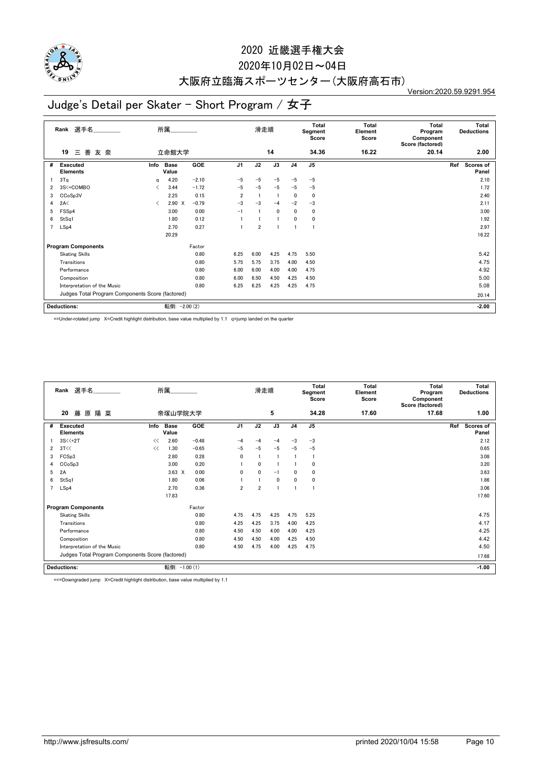

### 2020年10月02日~04日

## 大阪府立臨海スポーツセンター(大阪府高石市)

Version:2020.59.9291.954

## Judge's Detail per Skater - Short Program / 女子

|   | 選手名<br>Rank                                      |           | 所属                   |            |                | 滑走順            |                |                | Total<br>Segment<br>Score | <b>Total</b><br>Element<br>Score | <b>Total</b><br>Program<br>Component<br>Score (factored) | <b>Total</b><br><b>Deductions</b> |
|---|--------------------------------------------------|-----------|----------------------|------------|----------------|----------------|----------------|----------------|---------------------------|----------------------------------|----------------------------------------------------------|-----------------------------------|
|   | 三善<br>友奈<br>19                                   |           | 立命館大学                |            |                |                | 14             |                | 34.36                     | 16.22                            | 20.14                                                    | 2.00                              |
| # | <b>Executed</b><br><b>Elements</b>               | Info      | <b>Base</b><br>Value | <b>GOE</b> | J <sub>1</sub> | J2             | J3             | J <sub>4</sub> | J5                        |                                  |                                                          | Scores of<br>Ref<br>Panel         |
|   | 3T <sub>a</sub>                                  | q         | 4.20                 | $-2.10$    | $-5$           | $-5$           | $-5$           | $-5$           | $-5$                      |                                  |                                                          | 2.10                              |
| 2 | 3S<+COMBO                                        | ✓         | 3.44                 | $-1.72$    | $-5$           | $-5$           | $-5$           | $-5$           | $-5$                      |                                  |                                                          | 1.72                              |
| 3 | CCoSp3V                                          |           | 2.25                 | 0.15       | $\overline{2}$ |                | $\overline{1}$ | 0              | 0                         |                                  |                                                          | 2.40                              |
| 4 | 2A<                                              | $\langle$ | $2.90 \times$        | $-0.79$    | $-3$           | $-3$           | $-4$           | $-2$           | $-3$                      |                                  |                                                          | 2.11                              |
| 5 | FSS <sub>p4</sub>                                |           | 3.00                 | 0.00       | $-1$           |                | $\mathbf 0$    | 0              | 0                         |                                  |                                                          | 3.00                              |
| 6 | StSq1                                            |           | 1.80                 | 0.12       |                |                | $\overline{1}$ | 0              | 0                         |                                  |                                                          | 1.92                              |
| 7 | LSp4                                             |           | 2.70                 | 0.27       |                | $\overline{2}$ |                |                | f,                        |                                  |                                                          | 2.97                              |
|   |                                                  |           | 20.29                |            |                |                |                |                |                           |                                  |                                                          | 16.22                             |
|   | <b>Program Components</b>                        |           |                      | Factor     |                |                |                |                |                           |                                  |                                                          |                                   |
|   | <b>Skating Skills</b>                            |           |                      | 0.80       | 6.25           | 6.00           | 4.25           | 4.75           | 5.50                      |                                  |                                                          | 5.42                              |
|   | Transitions                                      |           |                      | 0.80       | 5.75           | 5.75           | 3.75           | 4.00           | 4.50                      |                                  |                                                          | 4.75                              |
|   | Performance                                      |           |                      | 0.80       | 6.00           | 6.00           | 4.00           | 4.00           | 4.75                      |                                  |                                                          | 4.92                              |
|   | Composition                                      |           |                      | 0.80       | 6.00           | 6.50           | 4.50           | 4.25           | 4.50                      |                                  |                                                          | 5.00                              |
|   | Interpretation of the Music                      |           |                      | 0.80       | 6.25           | 6.25           | 4.25           | 4.25           | 4.75                      |                                  |                                                          | 5.08                              |
|   | Judges Total Program Components Score (factored) |           |                      |            |                |                |                |                |                           |                                  |                                                          | 20.14                             |
|   | <b>Deductions:</b>                               |           | 転倒:                  | $-2.00(2)$ |                |                |                |                |                           |                                  |                                                          | $-2.00$                           |

<=Under-rotated jump X=Credit highlight distribution, base value multiplied by 1.1 q=jump landed on the quarter

|                | 選手名<br>Rank                                      |      | 所属                   |         |              | 滑走順            |             |                | <b>Total</b><br>Segment<br>Score | Total<br>Element<br>Score | Total<br>Program<br>Component<br>Score (factored) | <b>Total</b><br><b>Deductions</b> |
|----------------|--------------------------------------------------|------|----------------------|---------|--------------|----------------|-------------|----------------|----------------------------------|---------------------------|---------------------------------------------------|-----------------------------------|
|                | 20<br>藤<br>原陽菜                                   |      | 帝塚山学院大学              |         |              |                | 5           |                | 34.28                            | 17.60                     | 17.68                                             | 1.00                              |
| #              | <b>Executed</b><br><b>Elements</b>               | Info | <b>Base</b><br>Value | GOE     | J1           | J2             | J3          | J <sub>4</sub> | J <sub>5</sub>                   |                           |                                                   | Ref<br><b>Scores of</b><br>Panel  |
|                | 3S<<+2T                                          | <<   | 2.60                 | $-0.48$ | $-4$         | -4             | $-4$        | $-3$           | $-3$                             |                           |                                                   | 2.12                              |
| 2              | 3T<<                                             | <<   | 1.30                 | $-0.65$ | $-5$         | $-5$           | $-5$        | $-5$           | $-5$                             |                           |                                                   | 0.65                              |
| 3              | FCSp3                                            |      | 2.80                 | 0.28    | $\mathbf{0}$ |                | -1          |                | -1                               |                           |                                                   | 3.08                              |
| 4              | CCoSp3                                           |      | 3.00                 | 0.20    |              | $\mathbf{0}$   |             |                | $\mathbf 0$                      |                           |                                                   | 3.20                              |
| 5              | 2A                                               |      | $3.63 \times$        | 0.00    | $\mathbf{0}$ | $\mathbf{0}$   | $-1$        | $\mathbf{0}$   | 0                                |                           |                                                   | 3.63                              |
| 6              | StSq1                                            |      | 1.80                 | 0.06    |              |                | $\mathbf 0$ | $\mathbf{0}$   | 0                                |                           |                                                   | 1.86                              |
| $\overline{7}$ | LSp4                                             |      | 2.70                 | 0.36    | 2            | $\overline{2}$ | 1           |                |                                  |                           |                                                   | 3.06                              |
|                |                                                  |      | 17.83                |         |              |                |             |                |                                  |                           |                                                   | 17.60                             |
|                | <b>Program Components</b>                        |      |                      | Factor  |              |                |             |                |                                  |                           |                                                   |                                   |
|                | <b>Skating Skills</b>                            |      |                      | 0.80    | 4.75         | 4.75           | 4.25        | 4.75           | 5.25                             |                           |                                                   | 4.75                              |
|                | Transitions                                      |      |                      | 0.80    | 4.25         | 4.25           | 3.75        | 4.00           | 4.25                             |                           |                                                   | 4.17                              |
|                | Performance                                      |      |                      | 0.80    | 4.50         | 4.50           | 4.00        | 4.00           | 4.25                             |                           |                                                   | 4.25                              |
|                | Composition                                      |      |                      | 0.80    | 4.50         | 4.50           | 4.00        | 4.25           | 4.50                             |                           |                                                   | 4.42                              |
|                | Interpretation of the Music                      |      |                      | 0.80    | 4.50         | 4.75           | 4.00        | 4.25           | 4.75                             |                           |                                                   | 4.50                              |
|                | Judges Total Program Components Score (factored) |      |                      |         |              |                |             |                |                                  |                           |                                                   | 17.68                             |
|                | <b>Deductions:</b>                               |      | 転倒: -1.00 (1)        |         |              |                |             |                |                                  |                           |                                                   | $-1.00$                           |

<<=Downgraded jump X=Credit highlight distribution, base value multiplied by 1.1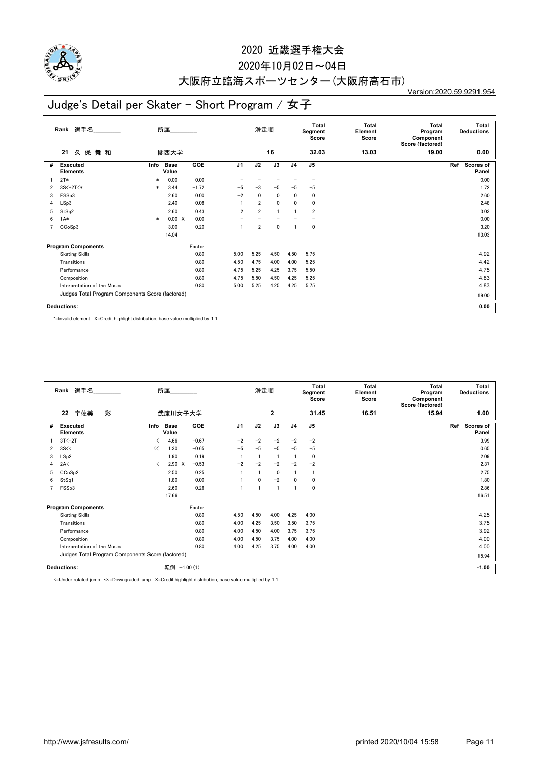

### 2020年10月02日~04日

# 大阪府立臨海スポーツセンター(大阪府高石市)

Version:2020.59.9291.954

## Judge's Detail per Skater - Short Program / 女子

|   | 選手名<br>Rank                                      |        | 所属                   |            |                | 滑走順            |             |                | Total<br>Segment<br>Score | <b>Total</b><br>Element<br>Score | <b>Total</b><br>Program<br>Component<br>Score (factored) | <b>Total</b><br><b>Deductions</b> |
|---|--------------------------------------------------|--------|----------------------|------------|----------------|----------------|-------------|----------------|---------------------------|----------------------------------|----------------------------------------------------------|-----------------------------------|
|   | 久保舞和<br>21                                       |        | 関西大学                 |            |                |                | 16          |                | 32.03                     | 13.03                            | 19.00                                                    | 0.00                              |
| # | <b>Executed</b><br><b>Elements</b>               | Info   | <b>Base</b><br>Value | <b>GOE</b> | J <sub>1</sub> | J2             | J3          | J <sub>4</sub> | J <sub>5</sub>            |                                  |                                                          | Scores of<br>Ref<br>Panel         |
|   | $2T*$                                            | $\ast$ | 0.00                 | 0.00       |                |                |             |                |                           |                                  |                                                          | 0.00                              |
| 2 | 3S<+2T<*                                         | $\ast$ | 3.44                 | $-1.72$    | $-5$           | $-3$           | $-5$        | $-5$           | $-5$                      |                                  |                                                          | 1.72                              |
| 3 | FSSp3                                            |        | 2.60                 | 0.00       | $-2$           | $\mathbf{0}$   | $\mathbf 0$ | 0              | 0                         |                                  |                                                          | 2.60                              |
| 4 | LSp3                                             |        | 2.40                 | 0.08       |                | $\overline{2}$ | $\mathbf 0$ | 0              | 0                         |                                  |                                                          | 2.48                              |
| 5 | StSq2                                            |        | 2.60                 | 0.43       | $\overline{2}$ | $\overline{2}$ |             |                | 2                         |                                  |                                                          | 3.03                              |
| 6 | $1A*$                                            | $\ast$ | 0.00 X               | 0.00       |                |                |             |                |                           |                                  |                                                          | 0.00                              |
| 7 | CCoSp3                                           |        | 3.00                 | 0.20       |                | $\overline{2}$ | $\mathbf 0$ |                | 0                         |                                  |                                                          | 3.20                              |
|   |                                                  |        | 14.04                |            |                |                |             |                |                           |                                  |                                                          | 13.03                             |
|   | <b>Program Components</b>                        |        |                      | Factor     |                |                |             |                |                           |                                  |                                                          |                                   |
|   | <b>Skating Skills</b>                            |        |                      | 0.80       | 5.00           | 5.25           | 4.50        | 4.50           | 5.75                      |                                  |                                                          | 4.92                              |
|   | Transitions                                      |        |                      | 0.80       | 4.50           | 4.75           | 4.00        | 4.00           | 5.25                      |                                  |                                                          | 4.42                              |
|   | Performance                                      |        |                      | 0.80       | 4.75           | 5.25           | 4.25        | 3.75           | 5.50                      |                                  |                                                          | 4.75                              |
|   | Composition                                      |        |                      | 0.80       | 4.75           | 5.50           | 4.50        | 4.25           | 5.25                      |                                  |                                                          | 4.83                              |
|   | Interpretation of the Music                      |        |                      | 0.80       | 5.00           | 5.25           | 4.25        | 4.25           | 5.75                      |                                  |                                                          | 4.83                              |
|   | Judges Total Program Components Score (factored) |        |                      |            |                |                |             |                |                           |                                  |                                                          | 19.00                             |
|   | <b>Deductions:</b>                               |        |                      |            |                |                |             |                |                           |                                  |                                                          | 0.00                              |

\*=Invalid element X=Credit highlight distribution, base value multiplied by 1.1

|                | Rank 選手名                                         |   |      | 所属                   |         |                | 滑走順          |              |                | <b>Total</b><br>Segment<br>Score | Total<br>Element<br>Score | <b>Total</b><br>Program<br>Component<br>Score (factored) | <b>Total</b><br><b>Deductions</b> |
|----------------|--------------------------------------------------|---|------|----------------------|---------|----------------|--------------|--------------|----------------|----------------------------------|---------------------------|----------------------------------------------------------|-----------------------------------|
|                | 宇佐美<br>22                                        | 彩 |      | 武庫川女子大学              |         |                |              | 2            |                | 31.45                            | 16.51                     | 15.94                                                    | 1.00                              |
| #              | <b>Executed</b><br><b>Elements</b>               |   | Info | <b>Base</b><br>Value | GOE     | J <sub>1</sub> | J2           | J3           | J <sub>4</sub> | J <sub>5</sub>                   |                           |                                                          | Ref<br><b>Scores of</b><br>Panel  |
|                | $3T<+2T$                                         |   | ✓    | 4.66                 | $-0.67$ | $-2$           | $-2$         | $-2$         | $-2$           | $-2$                             |                           |                                                          | 3.99                              |
| $\overline{2}$ | 3S <                                             |   | <<   | 1.30                 | $-0.65$ | $-5$           | $-5$         | $-5$         | $-5$           | $-5$                             |                           |                                                          | 0.65                              |
| 3              | LSp2                                             |   |      | 1.90                 | 0.19    |                |              |              |                | $\mathbf 0$                      |                           |                                                          | 2.09                              |
| 4              | 2A<                                              |   | ≺    | $2.90 \t X$          | $-0.53$ | $-2$           | $-2$         | $-2$         | $-2$           | $-2$                             |                           |                                                          | 2.37                              |
| 5              | CCoSp2                                           |   |      | 2.50                 | 0.25    |                |              | $\mathbf{0}$ |                |                                  |                           |                                                          | 2.75                              |
| 6              | StSq1                                            |   |      | 1.80                 | 0.00    |                | $\mathbf{0}$ | $-2$         | $\mathbf{0}$   | 0                                |                           |                                                          | 1.80                              |
| 7              | FSSp3                                            |   |      | 2.60                 | 0.26    |                |              | L.           |                | 0                                |                           |                                                          | 2.86                              |
|                |                                                  |   |      | 17.66                |         |                |              |              |                |                                  |                           |                                                          | 16.51                             |
|                | <b>Program Components</b>                        |   |      |                      | Factor  |                |              |              |                |                                  |                           |                                                          |                                   |
|                | <b>Skating Skills</b>                            |   |      |                      | 0.80    | 4.50           | 4.50         | 4.00         | 4.25           | 4.00                             |                           |                                                          | 4.25                              |
|                | Transitions                                      |   |      |                      | 0.80    | 4.00           | 4.25         | 3.50         | 3.50           | 3.75                             |                           |                                                          | 3.75                              |
|                | Performance                                      |   |      |                      | 0.80    | 4.00           | 4.50         | 4.00         | 3.75           | 3.75                             |                           |                                                          | 3.92                              |
|                | Composition                                      |   |      |                      | 0.80    | 4.00           | 4.50         | 3.75         | 4.00           | 4.00                             |                           |                                                          | 4.00                              |
|                | Interpretation of the Music                      |   |      |                      | 0.80    | 4.00           | 4.25         | 3.75         | 4.00           | 4.00                             |                           |                                                          | 4.00                              |
|                | Judges Total Program Components Score (factored) |   |      |                      |         |                |              |              |                |                                  |                           |                                                          | 15.94                             |
|                | <b>Deductions:</b>                               |   |      | 転倒: -1.00 (1)        |         |                |              |              |                |                                  |                           |                                                          | $-1.00$                           |

<=Under-rotated jump <<=Downgraded jump X=Credit highlight distribution, base value multiplied by 1.1